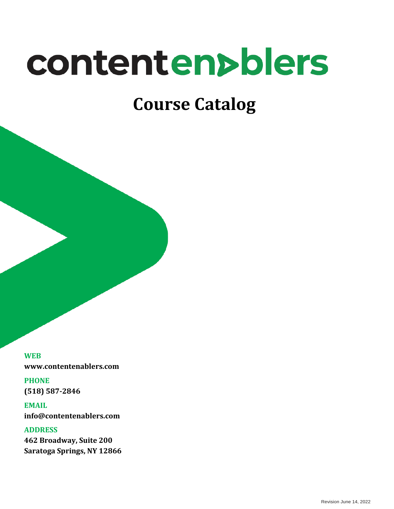# contenten>blers

# **Course Catalog**

**WEB www.contentenablers.com**

**PHONE (518) 587-2846**

**EMAIL info@contentenablers.com**

**ADDRESS 462 Broadway, Suite 200 Saratoga Springs, NY 12866**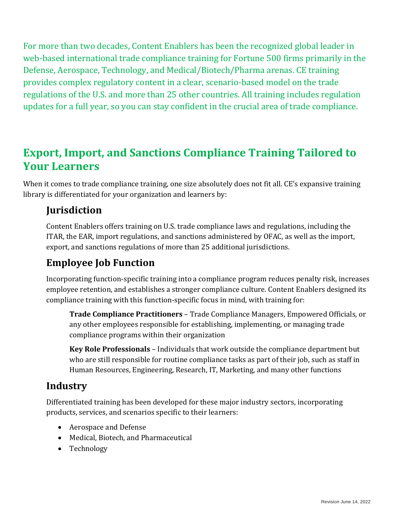For more than two decades, Content Enablers has been the recognized global leader in web-based international trade compliance training for Fortune 500 firms primarily in the Defense, Aerospace, Technology, and Medical/Biotech/Pharma arenas. CE training provides complex regulatory content in a clear, scenario-based model on the trade regulations of the U.S. and more than 25 other countries. All training includes regulation updates for a full year, so you can stay confident in the crucial area of trade compliance.

## **Export, Import, and Sanctions Compliance Training Tailored to Your Learners**

When it comes to trade compliance training, one size absolutely does not fit all. CE's expansive training library is differentiated for your organization and learners by:

#### **Jurisdiction**

Content Enablers offers training on U.S. trade compliance laws and regulations, including the ITAR, the EAR, import regulations, and sanctions administered by OFAC, as well as the import, export, and sanctions regulations of more than 25 additional jurisdictions.

## **Employee Job Function**

Incorporating function-specific training into a compliance program reduces penalty risk, increases employee retention, and establishes a stronger compliance culture. Content Enablers designed its compliance training with this function-specific focus in mind, with training for:

**Trade Compliance Practitioners** – Trade Compliance Managers, Empowered Officials, or any other employees responsible for establishing, implementing, or managing trade compliance programs within their organization

**Key Role Professionals** – Individuals that work outside the compliance department but who are still responsible for routine compliance tasks as part of their job, such as staff in Human Resources, Engineering, Research, IT, Marketing, and many other functions

#### **Industry**

Differentiated training has been developed for these major industry sectors, incorporating products, services, and scenarios specific to their learners:

- Aerospace and Defense
- Medical, Biotech, and Pharmaceutical
- Technology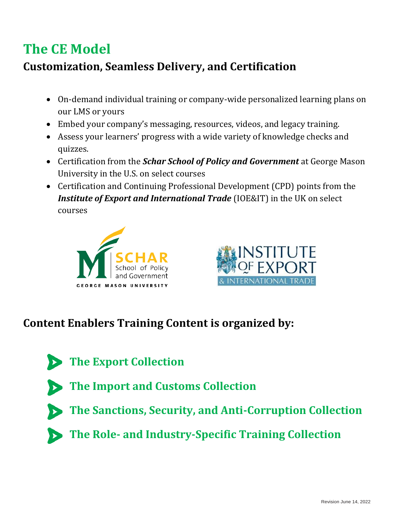# **The CE Model**

# **Customization, Seamless Delivery, and Certification**

- On-demand individual training or company-wide personalized learning plans on our LMS or yours
- Embed your company's messaging, resources, videos, and legacy training.
- Assess your learners' progress with a wide variety of knowledge checks and quizzes.
- Certification from the *Schar School of Policy and Government* at George Mason University in the U.S. on select courses
- Certification and Continuing Professional Development (CPD) points from the *Institute of Export and International Trade* (IOE&IT) in the UK on select courses





## **Content Enablers Training Content is organized by:**

- **The Export Collection**
	- **The Import and Customs Collection**
	- **The Sanctions, Security, and Anti-Corruption Collection**
	- **The Role- and Industry-Specific Training Collection**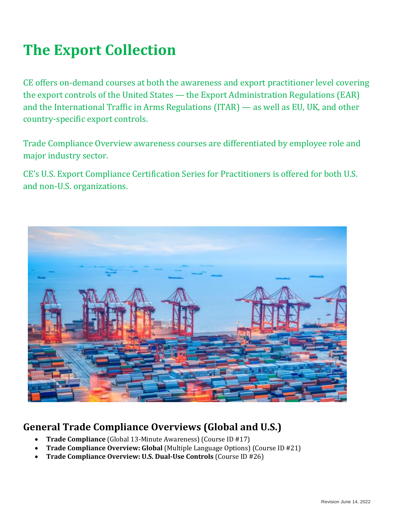# **The Export Collection**

CE offers on-demand courses at both the awareness and export practitioner level covering the export controls of the United States — the Export Administration Regulations (EAR) and the International Traffic in Arms Regulations (ITAR) — as well as EU, UK, and other country-specific export controls.

Trade Compliance Overview awareness courses are differentiated by employee role and major industry sector.

CE's U.S. Export Compliance Certification Series for Practitioners is offered for both U.S. and non-U.S. organizations.



## **General Trade Compliance Overviews (Global and U.S.)**

- **Trade Compliance** (Global 13-Minute Awareness) (Course ID #17)
- **Trade Compliance Overview: Global** (Multiple Language Options) (Course ID #21)
- **Trade Compliance Overview: U.S. Dual-Use Controls** (Course ID #26)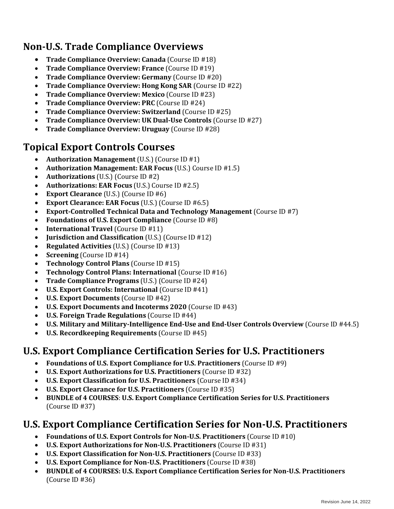### **Non-U.S. Trade Compliance Overviews**

- **Trade Compliance Overview: Canada** (Course ID #18)
- **Trade Compliance Overview: France** (Course ID #19)
- **Trade Compliance Overview: Germany** (Course ID #20)
- **Trade Compliance Overview: Hong Kong SAR** (Course ID #22)
- **Trade Compliance Overview: Mexico** (Course ID #23)
- **Trade Compliance Overview: PRC** (Course ID #24)
- **Trade Compliance Overview: Switzerland** (Course ID #25)
- **Trade Compliance Overview: UK Dual-Use Controls** (Course ID #27)
- **Trade Compliance Overview: Uruguay** (Course ID #28)

#### **Topical Export Controls Courses**

- **Authorization Management** (U.S.) (Course ID #1)
- **Authorization Management: EAR Focus** (U.S.) Course ID #1.5)
- **Authorizations** (U.S.) (Course ID #2)
- **Authorizations: EAR Focus** (U.S.) Course ID #2.5)
- **Export Clearance** (U.S.) (Course ID #6)
- **Export Clearance: EAR Focus** (U.S.) (Course ID #6.5)
- **Export-Controlled Technical Data and Technology Management** (Course ID #7)
- **Foundations of U.S. Export Compliance** (Course ID #8)
- **International Travel** (Course ID #11)
- **Jurisdiction and Classification** (U.S.) (Course ID #12)
- **Regulated Activities** (U.S.) (Course ID #13)
- **Screening** (Course ID #14)
- **Technology Control Plans** (Course ID #15)
- **Technology Control Plans: International** (Course ID #16)
- **Trade Compliance Programs** (U.S.) (Course ID #24)
- **U.S. Export Controls: International** (Course ID #41)
- **U.S. Export Documents** (Course ID #42)
- **U.S. Export Documents and Incoterms 2020** (Course ID #43)
- **U.S. Foreign Trade Regulations** (Course ID #44)
- **U.S. Military and Military-Intelligence End-Use and End-User Controls Overview** (Course ID #44.5)
- **U.S. Recordkeeping Requirements** (Course ID #45)

#### **U.S. Export Compliance Certification Series for U.S. Practitioners**

- **Foundations of U.S. Export Compliance for U.S. Practitioners** (Course ID #9)
- **U.S. Export Authorizations for U.S. Practitioners** (Course ID #32)
- **U.S. Export Classification for U.S. Practitioners** (Course ID #34)
- **U.S. Export Clearance for U.S. Practitioners** (Course ID #35)
- **BUNDLE of 4 COURSES**: **U.S. Export Compliance Certification Series for U.S. Practitioners** (Course ID #37)

#### **U.S. Export Compliance Certification Series for Non-U.S. Practitioners**

- **Foundations of U.S. Export Controls for Non-U.S. Practitioners** (Course ID #10)
- **U.S. Export Authorizations for Non-U.S. Practitioners** (Course ID #31)
- **U.S. Export Classification for Non-U.S. Practitioners** (Course ID #33)
- **U.S. Export Compliance for Non-U.S. Practitioners** (Course ID #38)
- **BUNDLE of 4 COURSES: U.S. Export Compliance Certification Series for Non-U.S. Practitioners** (Course ID #36)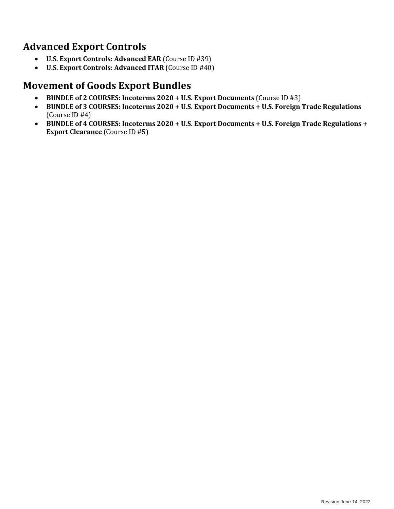#### **Advanced Export Controls**

- **U.S. Export Controls: Advanced EAR** (Course ID #39)
- **U.S. Export Controls: Advanced ITAR** (Course ID #40)

#### **Movement of Goods Export Bundles**

- **BUNDLE of 2 COURSES: Incoterms 2020 + U.S. Export Documents** (Course ID #3)
- **BUNDLE of 3 COURSES: Incoterms 2020 + U.S. Export Documents + U.S. Foreign Trade Regulations** (Course ID #4)
- **BUNDLE of 4 COURSES: Incoterms 2020 + U.S. Export Documents + U.S. Foreign Trade Regulations + Export Clearance** (Course ID #5)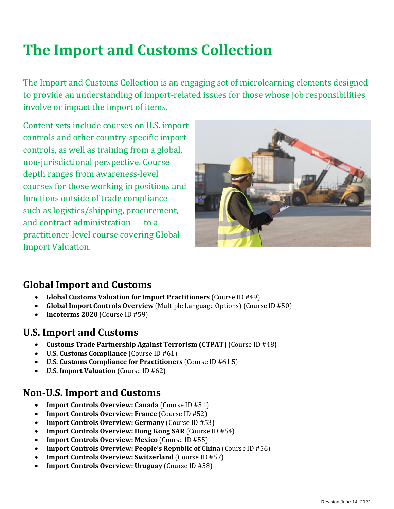# **The Import and Customs Collection**

The Import and Customs Collection is an engaging set of microlearning elements designed to provide an understanding of import-related issues for those whose job responsibilities involve or impact the import of items.

Content sets include courses on U.S. import controls and other country-specific import controls, as well as training from a global, non-jurisdictional perspective. Course depth ranges from awareness-level courses for those working in positions and functions outside of trade compliance such as logistics/shipping, procurement, and contract administration — to a practitioner-level course covering Global Import Valuation.



#### **Global Import and Customs**

- **Global Customs Valuation for Import Practitioners** (Course ID #49)
- **Global Import Controls Overview** (Multiple Language Options) (Course ID #50)
- **Incoterms 2020** (Course ID #59)

#### **U.S. Import and Customs**

- **Customs Trade Partnership Against Terrorism (CTPAT)** (Course ID #48)
- **U.S. Customs Compliance** (Course ID #61)
- **U.S. Customs Compliance for Practitioners** (Course ID #61.5)
- **U.S. Import Valuation** (Course ID #62)

#### **Non-U.S. Import and Customs**

- **Import Controls Overview: Canada** (Course ID #51)
- **Import Controls Overview: France** (Course ID #52)
- **Import Controls Overview: Germany** (Course ID #53)
- **Import Controls Overview: Hong Kong SAR** (Course ID #54)
- **Import Controls Overview: Mexico** (Course ID #55)
- **Import Controls Overview: People's Republic of China** (Course ID #56)
- **Import Controls Overview: Switzerland** (Course ID #57)
- **Import Controls Overview: Uruguay** (Course ID #58)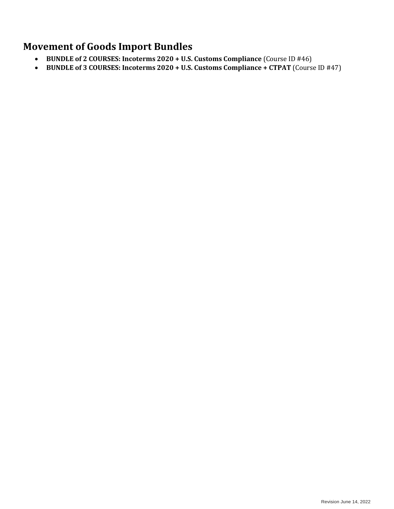#### **Movement of Goods Import Bundles**

- **BUNDLE of 2 COURSES: Incoterms 2020 + U.S. Customs Compliance** (Course ID #46)
- **BUNDLE of 3 COURSES: Incoterms 2020 + U.S. Customs Compliance + CTPAT** (Course ID #47)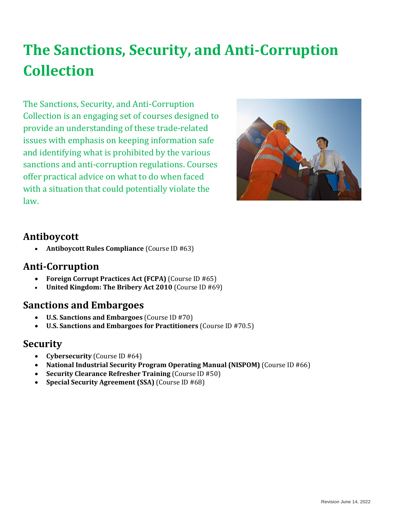# **The Sanctions, Security, and Anti-Corruption Collection**

The Sanctions, Security, and Anti-Corruption Collection is an engaging set of courses designed to provide an understanding of these trade-related issues with emphasis on keeping information safe and identifying what is prohibited by the various sanctions and anti-corruption regulations. Courses offer practical advice on what to do when faced with a situation that could potentially violate the law.



#### **Antiboycott**

• **Antiboycott Rules Compliance** (Course ID #63)

#### **Anti-Corruption**

- **Foreign Corrupt Practices Act (FCPA)** (Course ID #65)
- **United Kingdom: The Bribery Act 2010** (Course ID #69)

#### **Sanctions and Embargoes**

- **U.S. Sanctions and Embargoes** (Course ID #70)
- **U.S. Sanctions and Embargoes for Practitioners** (Course ID #70.5)

#### **Security**

- **Cybersecurity** (Course ID #64)
- **National Industrial Security Program Operating Manual (NISPOM)** (Course ID #66)
- **Security Clearance Refresher Training** (Course ID #50)
- **Special Security Agreement (SSA)** (Course ID #68)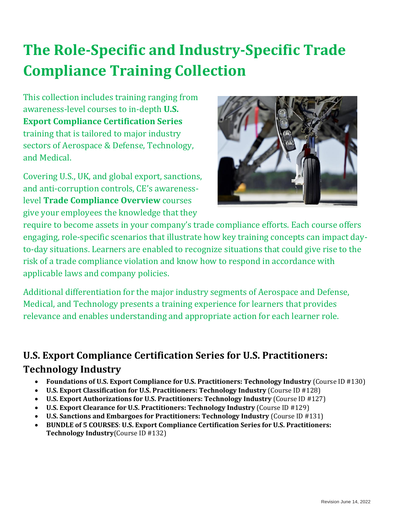# **The Role-Specific and Industry-Specific Trade Compliance Training Collection**

This collection includes training ranging from awareness-level courses to in-depth **U.S. Export Compliance Certification Series** training that is tailored to major industry sectors of Aerospace & Defense, Technology, and Medical.

Covering U.S., UK, and global export, sanctions, and anti-corruption controls, CE's awarenesslevel **Trade Compliance Overview** courses give your employees the knowledge that they



require to become assets in your company's trade compliance efforts. Each course offers engaging, role-specific scenarios that illustrate how key training concepts can impact dayto-day situations. Learners are enabled to recognize situations that could give rise to the risk of a trade compliance violation and know how to respond in accordance with applicable laws and company policies.

Additional differentiation for the major industry segments of Aerospace and Defense, Medical, and Technology presents a training experience for learners that provides relevance and enables understanding and appropriate action for each learner role.

## **U.S. Export Compliance Certification Series for U.S. Practitioners: Technology Industry**

- **Foundations of U.S. Export Compliance for U.S. Practitioners: Technology Industry** (Course ID #130)
- **U.S. Export Classification for U.S. Practitioners: Technology Industry** (Course ID #128)
- **U.S. Export Authorizations for U.S. Practitioners: Technology Industry** (Course ID #127)
- **U.S. Export Clearance for U.S. Practitioners: Technology Industry** (Course ID #129)
- **U.S. Sanctions and Embargoes for Practitioners: Technology Industry** (Course ID #131)
- **BUNDLE of 5 COURSES**: **U.S. Export Compliance Certification Series for U.S. Practitioners: Technology Industry**(Course ID #132)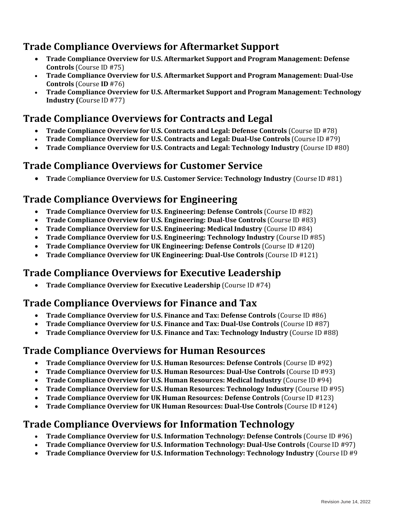#### **Trade Compliance Overviews for Aftermarket Support**

- **Trade Compliance Overview for U.S. Aftermarket Support and Program Management: Defense Controls** (Course ID #75)
- **Trade Compliance Overview for U.S. Aftermarket Support and Program Management: Dual-Use Controls** (Course **ID** #76)
- **Trade Compliance Overview for U.S. Aftermarket Support and Program Management: Technology Industry (**Course ID #77)

## **Trade Compliance Overviews for Contracts and Legal**

- **Trade Compliance Overview for U.S. Contracts and Legal: Defense Controls** (Course ID #78)
- **Trade Compliance Overview for U.S. Contracts and Legal: Dual-Use Controls** (Course ID #79)
- **Trade Compliance Overview for U.S. Contracts and Legal: Technology Industry** (Course ID #80)

#### **Trade Compliance Overviews for Customer Service**

• **Trade** Co**mpliance Overview for U.S. Customer Service: Technology Industry** (Course ID #81)

#### **Trade Compliance Overviews for Engineering**

- **Trade Compliance Overview for U.S. Engineering: Defense Controls** (Course ID #82)
- **Trade Compliance Overview for U.S. Engineering: Dual-Use Controls** (Course ID #83)
- **Trade Compliance Overview for U.S. Engineering: Medical Industry** (Course ID #84)
- **Trade Compliance Overview for U.S. Engineering: Technology Industry** (Course ID #85)
- **Trade Compliance Overview for UK Engineering: Defense Controls** (Course ID #120)
- **Trade Compliance Overview for UK Engineering: Dual-Use Controls** (Course ID #121)

#### **Trade Compliance Overviews for Executive Leadership**

• **Trade Compliance Overview for Executive Leadership** (Course ID #74)

#### **Trade Compliance Overviews for Finance and Tax**

- **Trade Compliance Overview for U.S. Finance and Tax: Defense Controls** (Course ID #86)
- **Trade Compliance Overview for U.S. Finance and Tax: Dual-Use Controls** (Course ID #87)
- **Trade Compliance Overview for U.S. Finance and Tax: Technology Industry** (Course ID #88)

#### **Trade Compliance Overviews for Human Resources**

- **Trade Compliance Overview for U.S. Human Resources: Defense Controls** (Course ID #92)
- **Trade Compliance Overview for U.S. Human Resources: Dual-Use Controls** (Course ID #93)
- **Trade Compliance Overview for U.S. Human Resources: Medical Industry** (Course ID #94)
- **Trade Compliance Overview for U.S. Human Resources: Technology Industry** (Course ID #95)
- **Trade Compliance Overview for UK Human Resources: Defense Controls** (Course ID #123)
- **Trade Compliance Overview for UK Human Resources: Dual-Use Controls** (Course ID #124)

#### **Trade Compliance Overviews for Information Technology**

- **Trade Compliance Overview for U.S. Information Technology: Defense Controls** (Course ID #96)
- **Trade Compliance Overview for U.S. Information Technology: Dual-Use Controls** (Course ID #97)
- **Trade Compliance Overview for U.S. Information Technology: Technology Industry** (Course ID #9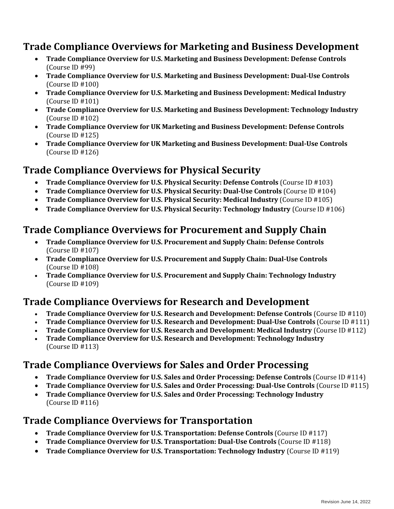#### **Trade Compliance Overviews for Marketing and Business Development**

- **Trade Compliance Overview for U.S. Marketing and Business Development: Defense Controls** (Course ID #99)
- **Trade Compliance Overview for U.S. Marketing and Business Development: Dual-Use Controls** (Course ID #100)
- **Trade Compliance Overview for U.S. Marketing and Business Development: Medical Industry** (Course ID #101)
- **Trade Compliance Overview for U.S. Marketing and Business Development: Technology Industry** (Course ID #102)
- **Trade Compliance Overview for UK Marketing and Business Development: Defense Controls** (Course ID #125)
- **Trade Compliance Overview for UK Marketing and Business Development: Dual-Use Controls** (Course ID #126)

#### **Trade Compliance Overviews for Physical Security**

- **Trade Compliance Overview for U.S. Physical Security: Defense Controls** (Course ID #103)
- **Trade Compliance Overview for U.S. Physical Security: Dual-Use Controls** (Course ID #104)
- **Trade Compliance Overview for U.S. Physical Security: Medical Industry** (Course ID #105)
- **Trade Compliance Overview for U.S. Physical Security: Technology Industry** (Course ID #106)

#### **Trade Compliance Overviews for Procurement and Supply Chain**

- **Trade Compliance Overview for U.S. Procurement and Supply Chain: Defense Controls** (Course ID #107)
- **Trade Compliance Overview for U.S. Procurement and Supply Chain: Dual-Use Controls** (Course ID #108)
- **Trade Compliance Overview for U.S. Procurement and Supply Chain: Technology Industry** (Course ID #109)

#### **Trade Compliance Overviews for Research and Development**

- **Trade Compliance Overview for U.S. Research and Development: Defense Controls** (Course ID #110)
- **Trade Compliance Overview for U.S. Research and Development: Dual-Use Controls** (Course ID #111)
- **Trade Compliance Overview for U.S. Research and Development: Medical Industry** (Course ID #112)
- **Trade Compliance Overview for U.S. Research and Development: Technology Industry** (Course ID #113)

#### **Trade Compliance Overviews for Sales and Order Processing**

- **Trade Compliance Overview for U.S. Sales and Order Processing: Defense Controls** (Course ID #114)
- **Trade Compliance Overview for U.S. Sales and Order Processing: Dual-Use Controls** (Course ID #115)
- **Trade Compliance Overview for U.S. Sales and Order Processing: Technology Industry** (Course ID #116)

#### **Trade Compliance Overviews for Transportation**

- **Trade Compliance Overview for U.S. Transportation: Defense Controls** (Course ID #117)
- **Trade Compliance Overview for U.S. Transportation: Dual-Use Controls** (Course ID #118)
- **Trade Compliance Overview for U.S. Transportation: Technology Industry** (Course ID #119)